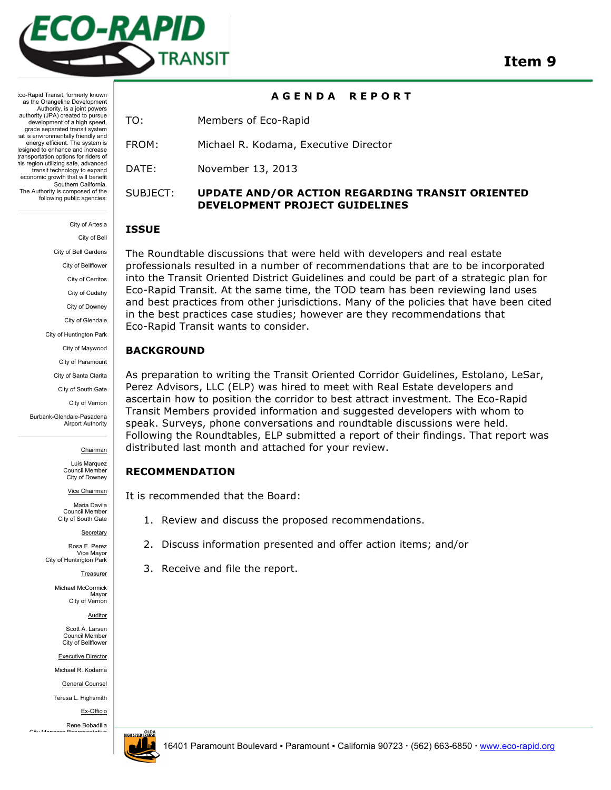

**A G E N D A R E P O R T** 

:co-Rapid Transit, formerly known as the Orangeline Development Authority, is a joint powers authority (JPA) created to pursue development of a high speed. grade separated transit system tat is environmentally friendly and energy efficient. The system is designed to enhance and increase transportation options for riders of this region utilizing safe, advanced transit technology to expand economic growth that will benefit Southern California. The Authority is composed of the following public agencies:

> City of Artesia City of Bell City of Bell Gardens City of Bellflower City of Cerritos City of Cudahy City of Downey City of Glendale City of Huntington Park City of Maywood City of Paramount City of Santa Clarita City of South Gate City of Vernon

Burbank-Glendale-Pasadena Airport Authority

Chairman

Luis Marquez Council Member City of Downey

Vice Chairman

Maria Davila Council Member City of South Gate

**Secretary** 

Rosa E. Perez Vice Mayor City of Huntington Park

Treasurer

Michael McCormick Mayor City of Vernon

Auditor

Scott A. Larsen Council Member City of Bellflower

Executive Director

Michael R. Kodama

General Counsel

Teresa L. Highsmith

Ex-Officio

Rene Bobadilla City Manager



TO: Members of Eco-Rapid

FROM: Michael R. Kodama, Executive Director

DATE: November 13, 2013

### SUBJECT: **UPDATE AND/OR ACTION REGARDING TRANSIT ORIENTED DEVELOPMENT PROJECT GUIDELINES**

#### **ISSUE**

The Roundtable discussions that were held with developers and real estate professionals resulted in a number of recommendations that are to be incorporated into the Transit Oriented District Guidelines and could be part of a strategic plan for Eco-Rapid Transit. At the same time, the TOD team has been reviewing land uses and best practices from other jurisdictions. Many of the policies that have been cited in the best practices case studies; however are they recommendations that Eco-Rapid Transit wants to consider.

#### **BACKGROUND**

As preparation to writing the Transit Oriented Corridor Guidelines, Estolano, LeSar, Perez Advisors, LLC (ELP) was hired to meet with Real Estate developers and ascertain how to position the corridor to best attract investment. The Eco-Rapid Transit Members provided information and suggested developers with whom to speak. Surveys, phone conversations and roundtable discussions were held. Following the Roundtables, ELP submitted a report of their findings. That report was distributed last month and attached for your review.

#### **RECOMMENDATION**

It is recommended that the Board:

- 1. Review and discuss the proposed recommendations.
- 2. Discuss information presented and offer action items; and/or
- 3. Receive and file the report.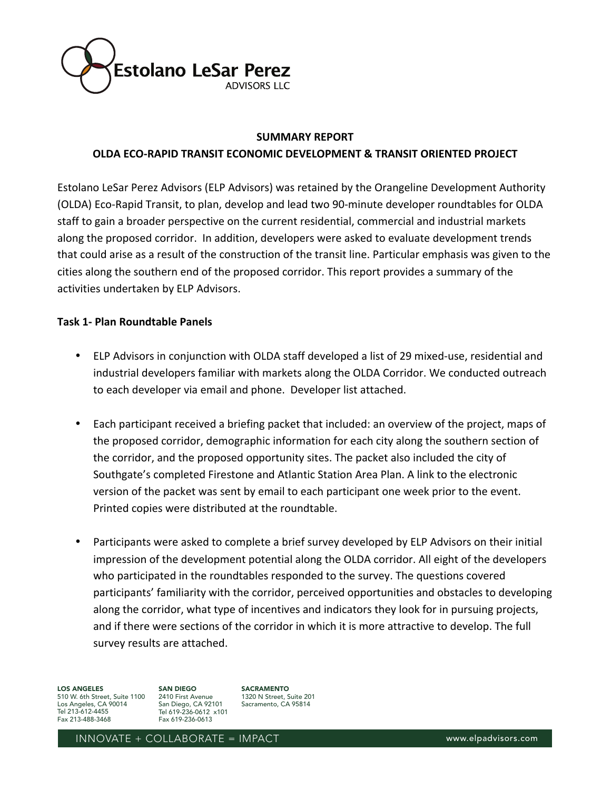

#### **SUMMARY'REPORT**

# **OLDA'ECO/RAPID'TRANSIT'ECONOMIC'DEVELOPMENT'&'TRANSIT'ORIENTED'PROJECT**

Estolano LeSar Perez Advisors (ELP Advisors) was retained by the Orangeline Development Authority (OLDA) Eco-Rapid Transit, to plan, develop and lead two 90-minute developer roundtables for OLDA staff to gain a broader perspective on the current residential, commercial and industrial markets along the proposed corridor. In addition, developers were asked to evaluate development trends that could arise as a result of the construction of the transit line. Particular emphasis was given to the cities along the southern end of the proposed corridor. This report provides a summary of the activities undertaken by ELP Advisors.

# **Task'1/ Plan'Roundtable'Panels**

- ELP Advisors in conjunction with OLDA staff developed a list of 29 mixed-use, residential and industrial developers familiar with markets along the OLDA Corridor. We conducted outreach to each developer via email and phone. Developer list attached.
- Each participant received a briefing packet that included: an overview of the project, maps of the proposed corridor, demographic information for each city along the southern section of the corridor, and the proposed opportunity sites. The packet also included the city of Southgate's completed Firestone and Atlantic Station Area Plan. A link to the electronic version of the packet was sent by email to each participant one week prior to the event. Printed copies were distributed at the roundtable.
- Participants were asked to complete a brief survey developed by ELP Advisors on their initial impression of the development potential along the OLDA corridor. All eight of the developers who participated in the roundtables responded to the survey. The questions covered participants' familiarity with the corridor, perceived opportunities and obstacles to developing along the corridor, what type of incentives and indicators they look for in pursuing projects, and if there were sections of the corridor in which it is more attractive to develop. The full survey results are attached.

LOS ANGELES

510 W. 6th Street, Suite 1100 Los Angeles, CA 90014 Tel 213-612-4455 Fax 213-488-3468

SAN DIEGO 2410 First Avenue San Diego, CA 92101 Tel 619-236-0612 x101 Fax 619-236-0613

SACRAMENTO 1320 N Street, Suite 201 Sacramento, CA 95814

INNOVATE + COLLABORATE = IMPACT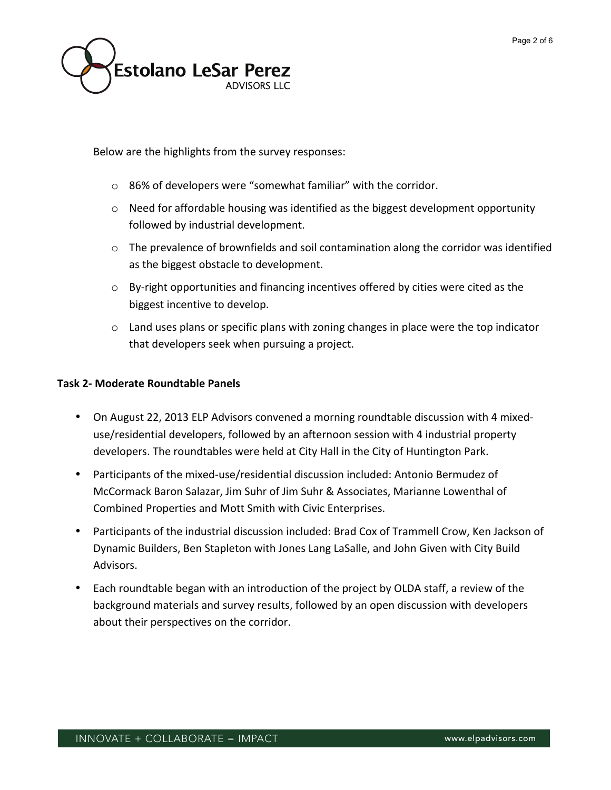

Below are the highlights from the survey responses:

- $\circ$  86% of developers were "somewhat familiar" with the corridor.
- $\circ$  Need for affordable housing was identified as the biggest development opportunity followed by industrial development.
- $\circ$  The prevalence of brownfields and soil contamination along the corridor was identified as the biggest obstacle to development.
- $\circ$  By-right opportunities and financing incentives offered by cities were cited as the biggest incentive to develop.
- $\circ$  Land uses plans or specific plans with zoning changes in place were the top indicator that developers seek when pursuing a project.

# **Task'2/ Moderate'Roundtable'Panels**

- On August 22, 2013 ELP Advisors convened a morning roundtable discussion with 4 mixeduse/residential developers, followed by an afternoon session with 4 industrial property developers. The roundtables were held at City Hall in the City of Huntington Park.
- Participants of the mixed-use/residential discussion included: Antonio Bermudez of McCormack Baron Salazar, Jim Suhr of Jim Suhr & Associates, Marianne Lowenthal of Combined Properties and Mott Smith with Civic Enterprises.
- Participants of the industrial discussion included: Brad Cox of Trammell Crow, Ken Jackson of Dynamic Builders, Ben Stapleton with Jones Lang LaSalle, and John Given with City Build Advisors.
- Each roundtable began with an introduction of the project by OLDA staff, a review of the background materials and survey results, followed by an open discussion with developers about their perspectives on the corridor.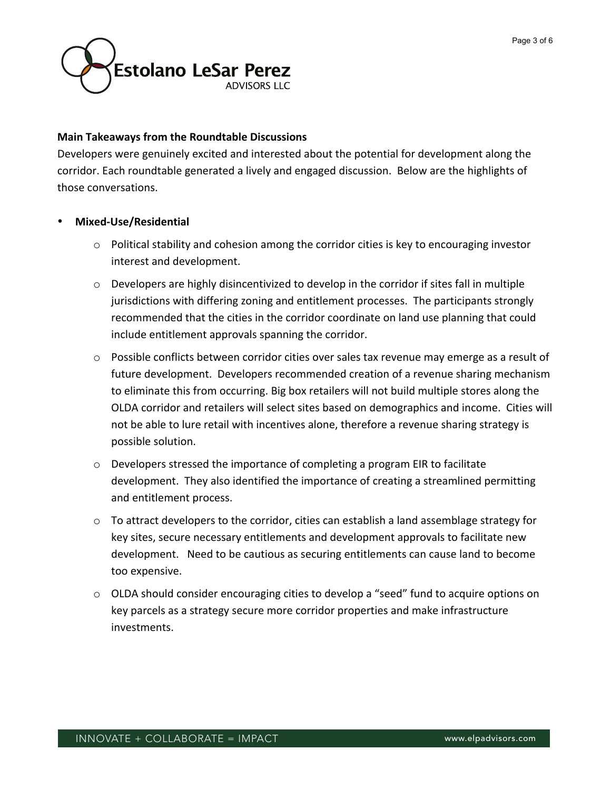

### **Main'Takeaways'from'the'Roundtable'Discussions**

Developers were genuinely excited and interested about the potential for development along the corridor. Each roundtable generated a lively and engaged discussion. Below are the highlights of those conversations.

### • **Mixed/Use/Residential**

- $\circ$  Political stability and cohesion among the corridor cities is key to encouraging investor interest and development.
- $\circ$  Developers are highly disincentivized to develop in the corridor if sites fall in multiple jurisdictions with differing zoning and entitlement processes. The participants strongly recommended that the cities in the corridor coordinate on land use planning that could include entitlement approvals spanning the corridor.
- $\circ$  Possible conflicts between corridor cities over sales tax revenue may emerge as a result of future development. Developers recommended creation of a revenue sharing mechanism to eliminate this from occurring. Big box retailers will not build multiple stores along the OLDA corridor and retailers will select sites based on demographics and income. Cities will not be able to lure retail with incentives alone, therefore a revenue sharing strategy is possible solution.
- $\circ$  Developers stressed the importance of completing a program EIR to facilitate development. They also identified the importance of creating a streamlined permitting and entitlement process.
- $\circ$  To attract developers to the corridor, cities can establish a land assemblage strategy for key sites, secure necessary entitlements and development approvals to facilitate new development. Need to be cautious as securing entitlements can cause land to become too expensive.
- $\circ$  OLDA should consider encouraging cities to develop a "seed" fund to acquire options on key parcels as a strategy secure more corridor properties and make infrastructure investments.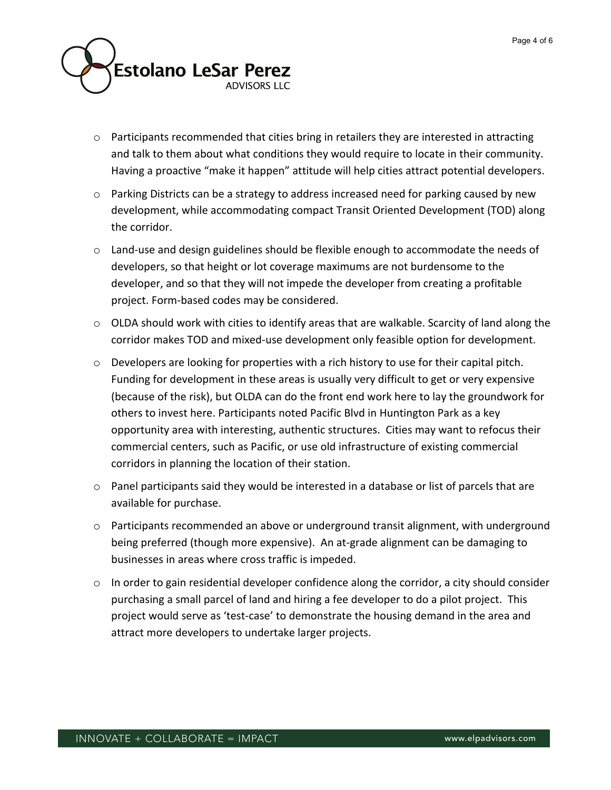

- $\circ$  Participants recommended that cities bring in retailers they are interested in attracting and talk to them about what conditions they would require to locate in their community. Having a proactive "make it happen" attitude will help cities attract potential developers.
- $\circ$  Parking Districts can be a strategy to address increased need for parking caused by new development, while accommodating compact Transit Oriented Development (TOD) along the corridor.
- $\circ$  Land-use and design guidelines should be flexible enough to accommodate the needs of developers, so that height or lot coverage maximums are not burdensome to the developer, and so that they will not impede the developer from creating a profitable project. Form-based codes may be considered.
- $\circ$  OLDA should work with cities to identify areas that are walkable. Scarcity of land along the corridor makes TOD and mixed-use development only feasible option for development.
- $\circ$  Developers are looking for properties with a rich history to use for their capital pitch. Funding for development in these areas is usually very difficult to get or very expensive (because of the risk), but OLDA can do the front end work here to lay the groundwork for others to invest here. Participants noted Pacific Blvd in Huntington Park as a key opportunity area with interesting, authentic structures. Cities may want to refocus their commercial centers, such as Pacific, or use old infrastructure of existing commercial corridors in planning the location of their station.
- $\circ$  Panel participants said they would be interested in a database or list of parcels that are available for purchase.
- o Participants recommended an above or underground transit alignment, with underground being preferred (though more expensive). An at-grade alignment can be damaging to businesses in areas where cross traffic is impeded.
- $\circ$  In order to gain residential developer confidence along the corridor, a city should consider purchasing a small parcel of land and hiring a fee developer to do a pilot project. This project would serve as 'test-case' to demonstrate the housing demand in the area and attract more developers to undertake larger projects.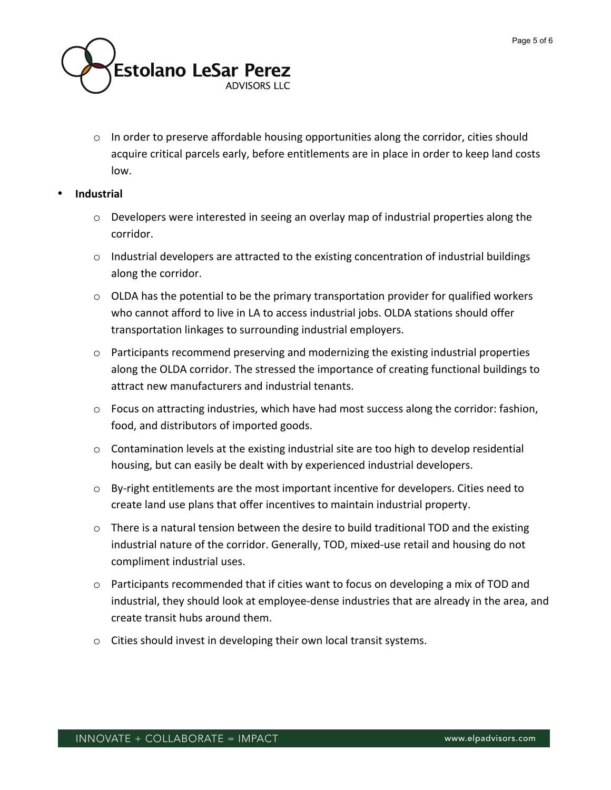

 $\circ$  In order to preserve affordable housing opportunities along the corridor, cities should acquire critical parcels early, before entitlements are in place in order to keep land costs low.

### • **Industrial'**

- $\circ$  Developers were interested in seeing an overlay map of industrial properties along the corridor.
- $\circ$  Industrial developers are attracted to the existing concentration of industrial buildings along the corridor.
- $\circ$  OLDA has the potential to be the primary transportation provider for qualified workers who cannot afford to live in LA to access industrial jobs. OLDA stations should offer transportation linkages to surrounding industrial employers.
- $\circ$  Participants recommend preserving and modernizing the existing industrial properties along the OLDA corridor. The stressed the importance of creating functional buildings to attract new manufacturers and industrial tenants.
- $\circ$  Focus on attracting industries, which have had most success along the corridor: fashion, food, and distributors of imported goods.
- $\circ$  Contamination levels at the existing industrial site are too high to develop residential housing, but can easily be dealt with by experienced industrial developers.
- $\circ$  By-right entitlements are the most important incentive for developers. Cities need to create land use plans that offer incentives to maintain industrial property.
- $\circ$  There is a natural tension between the desire to build traditional TOD and the existing industrial nature of the corridor. Generally, TOD, mixed-use retail and housing do not compliment industrial uses.
- $\circ$  Participants recommended that if cities want to focus on developing a mix of TOD and industrial, they should look at employee-dense industries that are already in the area, and create transit hubs around them.
- $\circ$  Cities should invest in developing their own local transit systems.